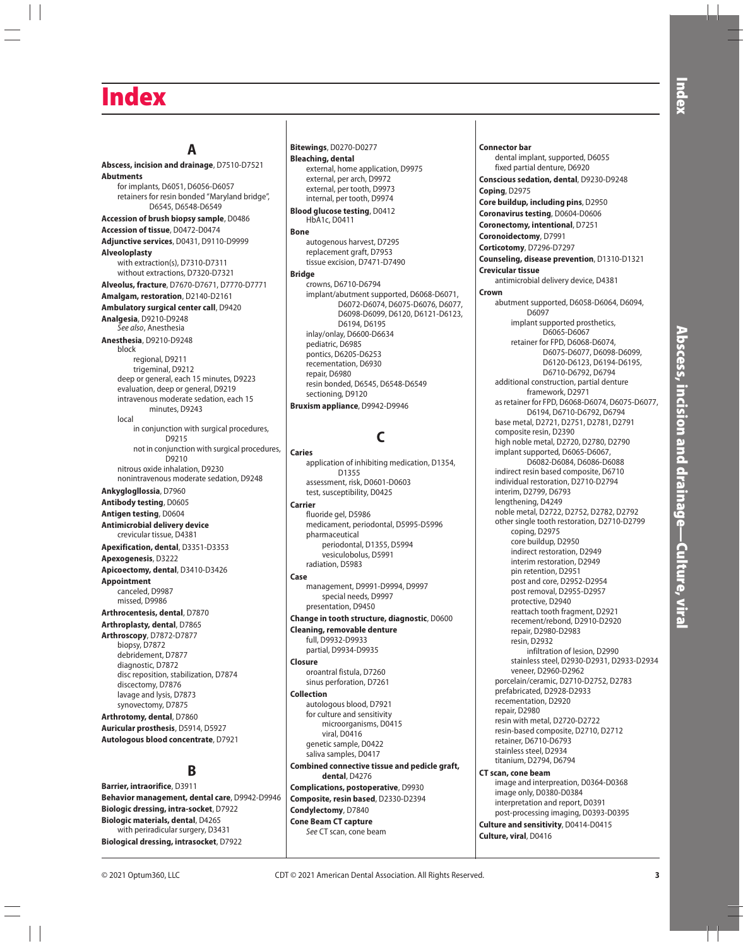# **Index**

**A Abscess, incision and drainage**, D7510-D7521 **Abutments** for implants, D6051, D6056-D6057 retainers for resin bonded "Maryland bridge", D6545, D6548-D6549 **Accession of brush biopsy sample**, D0486 **Accession of tissue**, D0472-D0474 **Adjunctive services**, D0431, D9110-D9999 **Alveoloplasty** with extraction(s), D7310-D7311 without extractions, D7320-D7321 **Alveolus, fracture**, D7670-D7671, D7770-D7771 **Amalgam, restoration**, D2140-D2161 **Ambulatory surgical center call**, D9420 **Analgesia**, D9210-D9248 See also, Anesthesia **Anesthesia**, D9210-D9248 block regional, D9211 trigeminal, D9212 deep or general, each 15 minutes, D9223 evaluation, deep or general, D9219 intravenous moderate sedation, each 15 minutes, D9243 local in conjunction with surgical procedures, D9215 not in conjunction with surgical procedures, D9210 nitrous oxide inhalation, D9230 nonintravenous moderate sedation, D9248 **Ankyglogllossia**, D7960 **Antibody testing**, D0605 **Antigen testing**, D0604 **Antimicrobial delivery device** crevicular tissue, D4381 **Apexification, dental**, D3351-D3353 **Apexogenesis**, D3222 **Apicoectomy, dental**, D3410-D3426 **Appointment** canceled, D9987 missed, D9986 **Arthrocentesis, dental**, D7870 **Arthroplasty, dental**, D7865 **Arthroscopy**, D7872-D7877 biopsy, D7872 debridement, D7877 diagnostic, D7872 disc reposition, stabilization, D7874 discectomy, D7876 lavage and lysis, D7873 synovectomy, D7875 **Arthrotomy, dental**, D7860 **Auricular prosthesis**, D5914, D5927 **Autologous blood concentrate**, D7921

#### **B**

**Barrier, intraorifice**, D3911 **Behavior management, dental care**, D9942-D9946 **Biologic dressing, intra-socket**, D7922 **Biologic materials, dental**, D4265 with periradicular surgery, D3431 **Biological dressing, intrasocket**, D7922

**Bitewings**, D0270-D0277 **Bleaching, dental** external, home application, D9975 external, per arch, D9972 external, per tooth, D9973 internal, per tooth, D9974 **Blood glucose testing**, D0412 HbA1c, D0411 **Bone** autogenous harvest, D7295 replacement graft, D7953 tissue excision, D7471-D7490 **Bridge** crowns, D6710-D6794 implant/abutment supported, D6068-D6071, D6072-D6074, D6075-D6076, D6077, D6098-D6099, D6120, D6121-D6123, D6194, D6195 inlay/onlay, D6600-D6634 pediatric, D6985 pontics, D6205-D6253 recementation, D6930 repair, D6980 resin bonded, D6545, D6548-D6549 sectioning, D9120 **Bruxism appliance**, D9942-D9946

# **C**

**Caries** application of inhibiting medication, D1354, D1355 assessment, risk, D0601-D0603 test, susceptibility, D0425 **Carrier**

fluoride gel, D5986 medicament, periodontal, D5995-D5996 pharmaceutical periodontal, D1355, D5994 vesiculobolus, D5991 radiation, D5983

#### **Case**

management, D9991-D9994, D9997 special needs, D9997 presentation, D9450

**Change in tooth structure, diagnostic**, D0600 **Cleaning, removable denture** full, D9932-D9933

partial, D9934-D9935 **Closure** oroantral fistula, D7260

sinus perforation, D7261 **Collection**

autologous blood, D7921 for culture and sensitivity microorganisms, D0415 viral, D0416 genetic sample, D0422 saliva samples, D0417

**Combined connective tissue and pedicle graft, dental**, D4276

**Complications, postoperative**, D9930 **Composite, resin based**, D2330-D2394 **Condylectomy**, D7840 **Cone Beam CT capture** See CT scan, cone beam

**Connector bar** dental implant, supported, D6055 fixed partial denture, D6920 **Conscious sedation, dental**, D9230-D9248 **Coping**, D2975 **Core buildup, including pins**, D2950 **Coronavirus testing**, D0604-D0606 **Coronectomy, intentional**, D7251 **Coronoidectomy**, D7991 **Corticotomy**, D7296-D7297 **Counseling, disease prevention**, D1310-D1321 **Crevicular tissue** antimicrobial delivery device, D4381 **Crown** abutment supported, D6058-D6064, D6094, D6097 implant supported prosthetics, D6065-D6067 retainer for FPD, D6068-D6074, D6075-D6077, D6098-D6099, D6120-D6123, D6194-D6195, D6710-D6792, D6794 additional construction, partial denture framework, D2971 as retainer for FPD, D6068-D6074, D6075-D6077, D6194, D6710-D6792, D6794 base metal, D2721, D2751, D2781, D2791 composite resin, D2390 high noble metal, D2720, D2780, D2790 implant supported, D6065-D6067, D6082-D6084, D6086-D6088 indirect resin based composite, D6710 individual restoration, D2710-D2794 interim, D2799, D6793 lengthening, D4249 noble metal, D2722, D2752, D2782, D2792 other single tooth restoration, D2710-D2799 coping, D2975 core buildup, D2950 indirect restoration, D2949 interim restoration, D2949 pin retention, D2951 post and core, D2952-D2954 post removal, D2955-D2957 protective, D2940 reattach tooth fragment, D2921 recement/rebond, D2910-D2920 repair, D2980-D2983 resin, D2932 infiltration of lesion, D2990 stainless steel, D2930-D2931, D2933-D2934 veneer, D2960-D2962 porcelain/ceramic, D2710-D2752, D2783 prefabricated, D2928-D2933 recementation, D2920 repair, D2980 resin with metal, D2720-D2722 resin-based composite, D2710, D2712 retainer, D6710-D6793 stainless steel, D2934 titanium, D2794, D6794 **CT scan, cone beam** image and interpreation, D0364-D0368 image only, D0380-D0384 interpretation and report, D0391 post-processing imaging, D0393-D0395

**Culture and sensitivity**, D0414-D0415 **Culture, viral**, D0416

**Index**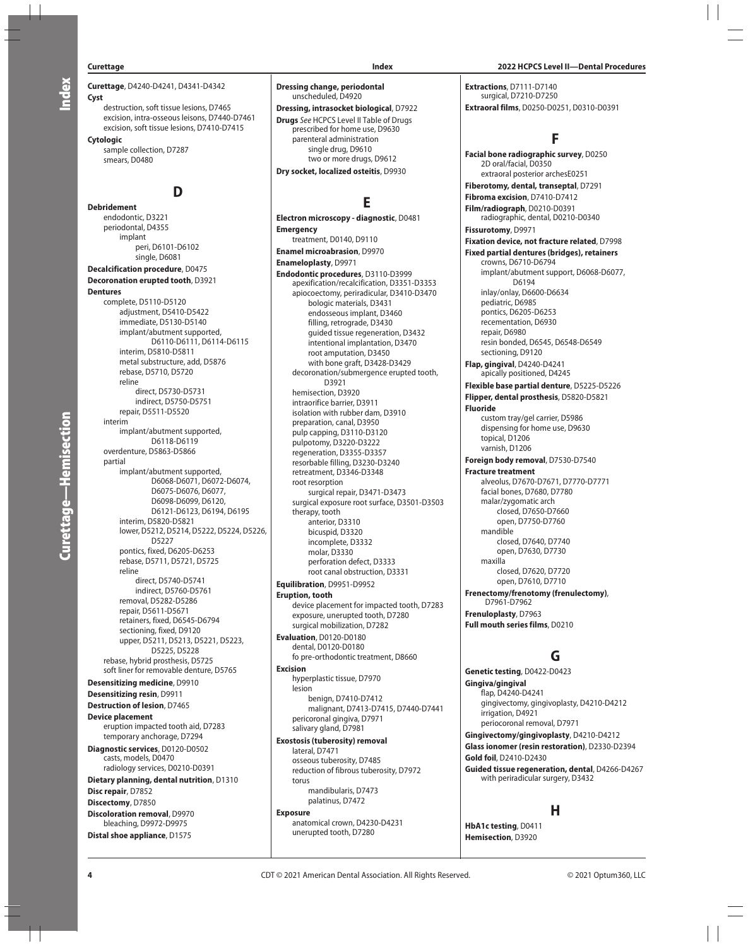Curettage—Hemisection Index

Curettage—Hemisection

**Curettage**, D4240-D4241, D4341-D4342 **Cyst** destruction, soft tissue lesions, D7465

excision, intra-osseous leisons, D7440-D7461 excision, soft tissue lesions, D7410-D7415

**Cytologic** sample collection, D7287 smears, D0480

# **D**

**Debridement** endodontic, D3221 periodontal, D4355 implant peri, D6101-D6102 single, D6081 **Decalcification procedure**, D0475 **Decoronation erupted tooth**, D3921 **Dentures** complete, D5110-D5120 adjustment, D5410-D5422 immediate, D5130-D5140 implant/abutment supported, D6110-D6111, D6114-D6115 interim, D5810-D5811 metal substructure, add, D5876 rebase, D5710, D5720 reline direct, D5730-D5731 indirect, D5750-D5751 repair, D5511-D5520 interim implant/abutment supported, D6118-D6119 overdenture, D5863-D5866 partial implant/abutment supported, D6068-D6071, D6072-D6074, D6075-D6076, D6077, D6098-D6099, D6120, D6121-D6123, D6194, D6195 interim, D5820-D5821 lower, D5212, D5214, D5222, D5224, D5226, D5227 pontics, fixed, D6205-D6253 rebase, D5711, D5721, D5725 reline direct, D5740-D5741 indirect, D5760-D5761 removal, D5282-D5286 repair, D5611-D5671 retainers, fixed, D6545-D6794 sectioning, fixed, D9120 upper, D5211, D5213, D5221, D5223, D5225, D5228 rebase, hybrid prosthesis, D5725 soft liner for removable denture, D5765 **Desensitizing medicine**, D9910 **Desensitizing resin**, D9911 **Destruction of lesion**, D7465 **Device placement** eruption impacted tooth aid, D7283 temporary anchorage, D7294 **Diagnostic services**, D0120-D0502 casts, models, D0470 radiology services, D0210-D0391 **Dietary planning, dental nutrition**, D1310 **Disc repair**, D7852 **Discectomy**, D7850 **Discoloration removal**, D9970 bleaching, D9972-D9975 **Distal shoe appliance**, D1575

**Dressing change, periodontal** unscheduled, D4920

**Dressing, intrasocket biological**, D7922 **Drugs** See HCPCS Level II Table of Drugs prescribed for home use, D9630 parenteral administration single drug, D9610 two or more drugs, D9612 **Dry socket, localized osteitis**, D9930

**E**

apexification/recalcification, D3351-D3353 apiocoectomy, periradicular, D3410-D3470 bologic materials, D3431 endosseous implant, D3460 filling, retrograde, D3430 guided tissue regeneration, D3432 intentional implantation, D3470 root amputation, D3450 with bone graft, D3428-D3429 decoronation/submergence erupted tooth,

**Electron microscopy - diagnostic**, D0481

**Endodontic procedures**, D3110-D3999

treatment, D0140, D9110 **Enamel microabrasion**, D9970 **Enameloplasty**, D9971

> D3921 hemisection, D3920 intraorifice barrier, D3911 isolation with rubber dam, D3910 preparation, canal, D3950 pulp capping, D3110-D3120 pulpotomy, D3220-D3222 regeneration, D3355-D3357 resorbable filling, D3230-D3240 retreatment, D3346-D3348 root resorption

therapy, tooth anterior, D3310 bicuspid, D3320 incomplete, D3332 molar, D3330

**Equilibration**, D9951-D9952

**Evaluation**, D0120-D0180 dental, D0120-D0180

**Eruption, tooth**

**Excision**

lesion

torus

**Exposure**

surgical repair, D3471-D3473

perforation defect, D3333 root canal obstruction, D3331

exposure, unerupted tooth, D7280 surgical mobilization, D7282

fo pre-orthodontic treatment, D8660

hyperplastic tissue, D7970

pericoronal gingiva, D7971 salivary gland, D7981 **Exostosis (tuberosity) removal** lateral, D7471

osseous tuberosity, D7485

mandibularis, D7473 palatinus, D7472

anatomical crown, D4230-D4231 unerupted tooth, D7280

reduction of fibrous tuberosity, D7972

benign, D7410-D7412

**Emergency**

**Extractions**, D7111-D7140 surgical, D7210-D7250 **Extraoral films**, D0250-D0251, D0310-D0391

### **F**

surgical exposure root surface, D3501-D3503 device placement for impacted tooth, D7283 malignant, D7413-D7415, D7440-D7441 **Facial bone radiographic survey**, D0250 2D oral/facial, D0350 extraoral posterior archesE0251 **Fiberotomy, dental, transeptal**, D7291 **Fibroma excision**, D7410-D7412 **Film/radiograph**, D0210-D0391 radiographic, dental, D0210-D0340 **Fissurotomy**, D9971 **Fixation device, not fracture related**, D7998 **Fixed partial dentures (bridges), retainers** crowns, D6710-D6794 implant/abutment support, D6068-D6077, D6194 inlay/onlay, D6600-D6634 pediatric, D6985 pontics, D6205-D6253 recementation, D6930 repair, D6980 resin bonded, D6545, D6548-D6549 sectioning, D9120 **Flap, gingival**, D4240-D4241 apically positioned, D4245 **Flexible base partial denture**, D5225-D5226 **Flipper, dental prosthesis**, D5820-D5821 **Fluoride** custom tray/gel carrier, D5986 dispensing for home use, D9630 topical, D1206 varnish, D1206 **Foreign body removal**, D7530-D7540 **Fracture treatment** alveolus, D7670-D7671, D7770-D7771 facial bones, D7680, D7780 malar/zygomatic arch closed, D7650-D7660 open, D7750-D7760 mandible closed, D7640, D7740 open, D7630, D7730 maxilla closed, D7620, D7720 open, D7610, D7710 **Frenectomy/frenotomy (frenulectomy)**, D7961-D7962 **Frenuloplasty**, D7963 **Full mouth series films**, D0210 **G Genetic testing**, D0422-D0423 **Gingiva/gingival** flap, D4240-D4241 gingivectomy, gingivoplasty, D4210-D4212 irrigation, D4921 periocoronal removal, D7971 **Gingivectomy/gingivoplasty**, D4210-D4212 **Glass ionomer (resin restoration)**, D2330-D2394 **Gold foil**, D2410-D2430 **Guided tissue regeneration, dental**, D4266-D4267 with periradicular surgery, D3432

#### **H**

**HbA1c testing**, D0411 **Hemisection**, D3920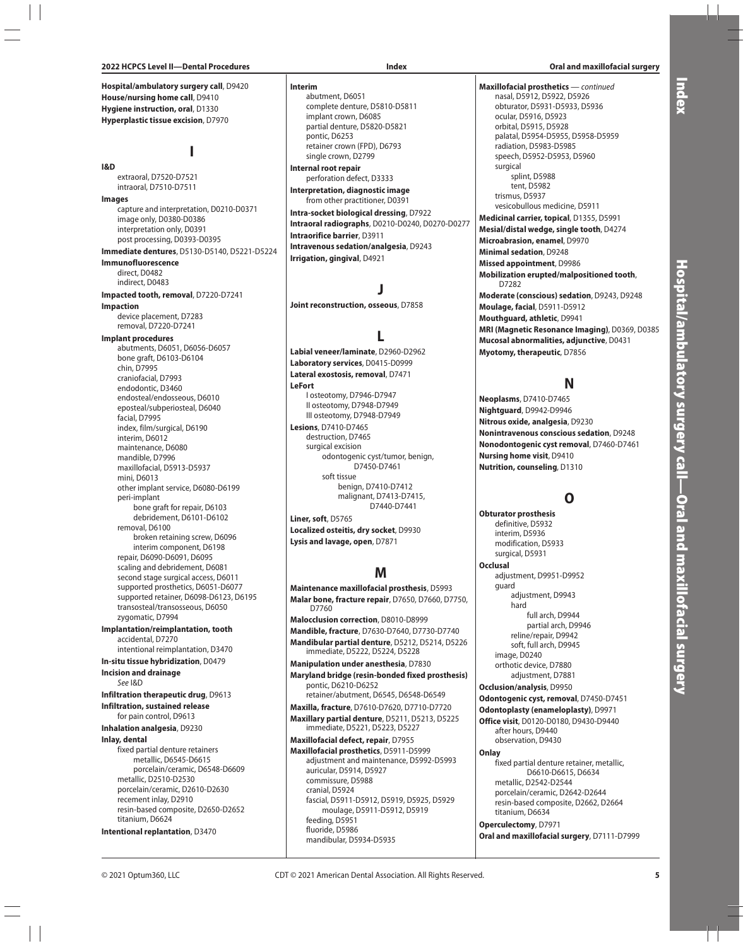**Hospital/ambulatory surgery call**, D9420 **House/nursing home call**, D9410 **Hygiene instruction, oral**, D1330 **Hyperplastic tissue excision**, D7970

**I**

#### **I&D**

extraoral, D7520-D7521 intraoral, D7510-D7511 **Images** capture and interpretation, D0210-D0371 image only, D0380-D0386 interpretation only, D0391 post processing, D0393-D0395 **Immediate dentures**, D5130-D5140, D5221-D5224

**Immunofluorescence** direct, D0482 indirect, D0483

**Impacted tooth, removal**, D7220-D7241 **Impaction**

device placement, D7283 removal, D7220-D7241 **Implant procedures**

abutments, D6051, D6056-D6057 bone graft, D6103-D6104 chin, D7995 craniofacial, D7993 endodontic, D3460 endosteal/endosseous, D6010 eposteal/subperiosteal, D6040 facial, D7995 index, film/surgical, D6190 interim, D6012 maintenance, D6080 mandible, D7996 maxillofacial, D5913-D5937 mini, D6013 other implant service, D6080-D6199 peri-implant bone graft for repair, D6103 debridement, D6101-D6102 removal, D6100 broken retaining screw, D6096 interim component, D6198 repair, D6090-D6091, D6095 scaling and debridement, D6081 second stage surgical access, D6011 supported prosthetics, D6051-D6077 supported retainer, D6098-D6123, D6195 transosteal/transosseous, D6050 zygomatic, D7994

**Implantation/reimplantation, tooth** accidental, D7270 intentional reimplantation, D3470 **In-situ tissue hybridization**, D0479

**Incision and drainage** See I&D

**Infiltration therapeutic drug**, D9613 **Infiltration, sustained release**

for pain control, D9613 **Inhalation analgesia**, D9230

**Inlay, dental** fixed partial denture retainers metallic, D6545-D6615 porcelain/ceramic, D6548-D6609 metallic, D2510-D2530 porcelain/ceramic, D2610-D2630 recement inlay, D2910 resin-based composite, D2650-D2652 titanium, D6624

**Intentional replantation**, D3470

**Interim** abutment, D6051 complete denture, D5810-D5811 implant crown, D6085 partial denture, D5820-D5821 pontic, D6253 retainer crown (FPD), D6793 single crown, D2799 **Internal root repair**

perforation defect, D3333 **Interpretation, diagnostic image** from other practitioner, D0391 **Intra-socket biological dressing**, D7922 **Intraoral radiographs**, D0210-D0240, D0270-D0277 **Intraorifice barrier**, D3911 **Intravenous sedation/analgesia**, D9243

**Irrigation, gingival**, D4921

#### **J**

**Joint reconstruction, osseous**, D7858

#### **L**

**Labial veneer/laminate**, D2960-D2962 **Laboratory services**, D0415-D0999 **Lateral exostosis, removal**, D7471 **LeFort** I osteotomy, D7946-D7947 II osteotomy, D7948-D7949 III osteotomy, D7948-D7949 **Lesions**, D7410-D7465

destruction, D7465 surgical excision odontogenic cyst/tumor, benign, D7450-D7461 soft tissue

> benign, D7410-D7412 malignant, D7413-D7415, D7440-D7441

**Liner, soft**, D5765 **Localized osteitis, dry socket**, D9930 **Lysis and lavage, open**, D7871

# **M**

**Maintenance maxillofacial prosthesis**, D5993 **Malar bone, fracture repair**, D7650, D7660, D7750, D7760 **Malocclusion correction**, D8010-D8999 **Mandible, fracture**, D7630-D7640, D7730-D7740 **Mandibular partial denture**, D5212, D5214, D5226 immediate, D5222, D5224, D5228 **Manipulation under anesthesia**, D7830 **Maryland bridge (resin-bonded fixed prosthesis)** pontic, D6210-D6252 retainer/abutment, D6545, D6548-D6549 **Maxilla, fracture**, D7610-D7620, D7710-D7720 **Maxillary partial denture**, D5211, D5213, D5225 immediate, D5221, D5223, D5227 **Maxillofacial defect, repair**, D7955 **Maxillofacial prosthetics**, D5911-D5999 adjustment and maintenance, D5992-D5993 auricular, D5914, D5927 commissure, D5988 cranial, D5924 fascial, D5911-D5912, D5919, D5925, D5929 moulage, D5911-D5912, D5919 feeding, D5951 fluoride, D5986 mandibular, D5934-D5935

**Maxillofacial prosthetics** — continued nasal, D5912, D5922, D5926 obturator, D5931-D5933, D5936 ocular, D5916, D5923 orbital, D5915, D5928 palatal, D5954-D5955, D5958-D5959 radiation, D5983-D5985 speech, D5952-D5953, D5960 surgical splint, D5988 tent, D5982 trismus, D5937 vesicobullous medicine, D5911

**Medicinal carrier, topical**, D1355, D5991 **Mesial/distal wedge, single tooth**, D4274 **Microabrasion, enamel**, D9970 **Minimal sedation**, D9248 **Missed appointment**, D9986 **Mobilization erupted/malpositioned tooth**, D7282 **Moderate (conscious) sedation**, D9243, D9248 **Moulage, facial**, D5911-D5912 **Mouthguard, athletic**, D9941 **MRI (Magnetic Resonance Imaging)**, D0369, D0385 **Mucosal abnormalities, adjunctive**, D0431

### **N**

**Myotomy, therapeutic**, D7856

**Neoplasms**, D7410-D7465 **Nightguard**, D9942-D9946 **Nitrous oxide, analgesia**, D9230 **Nonintravenous conscious sedation**, D9248 **Nonodontogenic cyst removal**, D7460-D7461 **Nursing home visit**, D9410 **Nutrition, counseling**, D1310

## **O**

**Obturator prosthesis** definitive, D5932 interim, D5936 modification, D5933 surgical, D5931

**Occlusal** adjustment, D9951-D9952 guard adiustment, D9943 hard full arch, D9944 partial arch, D9946 reline/repair, D9942 soft, full arch, D9945 image, D0240 orthotic device, D7880

adjustment, D7881 **Occlusion/analysis**, D9950 **Odontogenic cyst, removal**, D7450-D7451 **Odontoplasty (enameloplasty)**, D9971 **Office visit**, D0120-D0180, D9430-D9440

after hours, D9440 observation, D9430 **Onlay**

fixed partial denture retainer, metallic, D6610-D6615, D6634 metallic, D2542-D2544 porcelain/ceramic, D2642-D2644 resin-based composite, D2662, D2664 titanium, D6634

**Operculectomy**, D7971

**Oral and maxillofacial surgery**, D7111-D7999

**Index**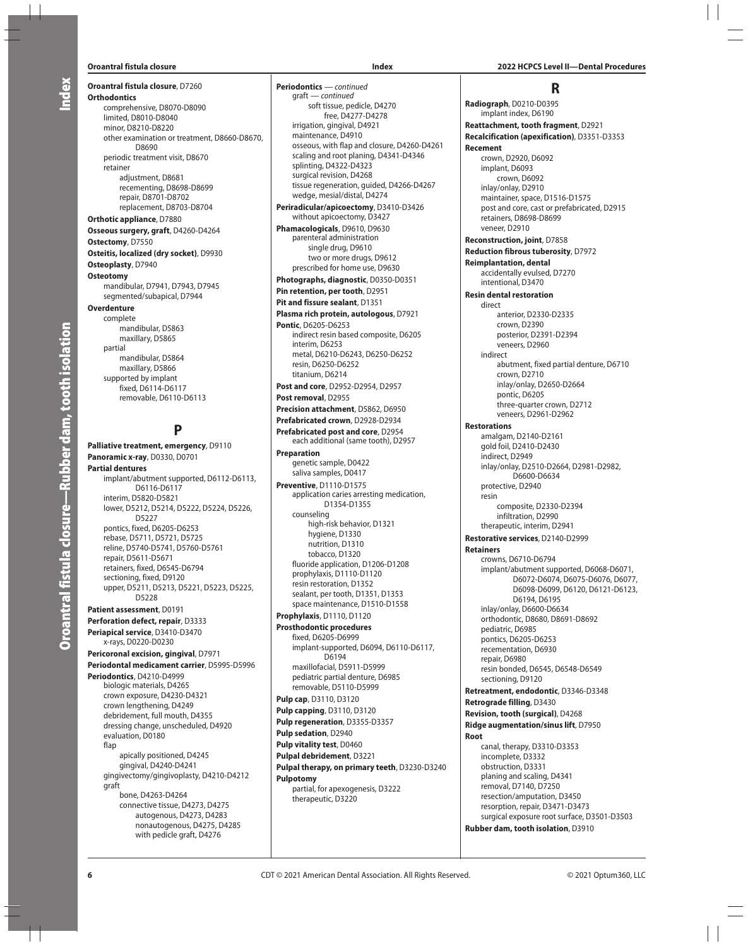**Oroantral fistula closure**, D7260 **Orthodontics** comprehensive, D8070-D8090 limited, D8010-D8040 minor, D8210-D8220 other examination or treatment, D8660-D8670, D8690 periodic treatment visit, D8670 retainer adjustment, D8681 recementing, D8698-D8699 repair, D8701-D8702 replacement, D8703-D8704 **Orthotic appliance**, D7880 **Osseous surgery, graft**, D4260-D4264 **Ostectomy**, D7550 **Osteitis, localized (dry socket)**, D9930 **Osteoplasty**, D7940 **Osteotomy** mandibular, D7941, D7943, D7945 segmented/subapical, D7944 **Overdenture** complete mandibular, D5863 maxillary, D5865 partial mandibular, D5864 maxillary, D5866

# **P**

supported by implant fixed, D6114-D6117 removable, D6110-D6113

**Palliative treatment, emergency**, D9110 **Panoramic x-ray**, D0330, D0701 **Partial dentures** implant/abutment supported, D6112-D6113, D6116-D6117 interim, D5820-D5821 lower, D5212, D5214, D5222, D5224, D5226, D5227 pontics, fixed, D6205-D6253 rebase, D5711, D5721, D5725 reline, D5740-D5741, D5760-D5761 repair, D5611-D5671 retainers, fixed, D6545-D6794 sectioning, fixed, D9120 upper, D5211, D5213, D5221, D5223, D5225, D5228 **Patient assessment**, D0191

**Perforation defect, repair**, D3333 **Periapical service**, D3410-D3470 x-rays, D0220-D0230 **Pericoronal excision, gingival**, D7971 **Periodontal medicament carrier**, D5995-D5996 **Periodontics**, D4210-D4999 biologic materials, D4265 crown exposure, D4230-D4321 crown lengthening, D4249 debridement, full mouth, D4355 dressing change, unscheduled, D4920 evaluation, D0180 flap apically positioned, D4245 gingival, D4240-D4241 gingivectomy/gingivoplasty, D4210-D4212 graft bone, D4263-D4264 connective tissue, D4273, D4275 autogenous, D4273, D4283 nonautogenous, D4275, D4285 with pedicle graft, D4276

**Periodontics** — continued graft — continued soft tissue, pedicle, D4270 free, D4277-D4278 irrigation, gingival, D4921 maintenance, D4910 osseous, with flap and closure, D4260-D4261 scaling and root planing, D4341-D4346 splinting, D4322-D4323 surgical revision, D4268 tissue regeneration, guided, D4266-D4267 wedge, mesial/distal, D4274 **Periradicular/apicoectomy**, D3410-D3426 without apicoectomy, D3427 **Phamacologicals**, D9610, D9630 parenteral administration single drug, D9610 two or more drugs, D9612 prescribed for home use, D9630 **Photographs, diagnostic**, D0350-D0351 **Pin retention, per tooth**, D2951 **Pit and fissure sealant**, D1351 **Plasma rich protein, autologous**, D7921 **Pontic**, D6205-D6253 indirect resin based composite, D6205 interim, D6253 metal, D6210-D6243, D6250-D6252 resin, D6250-D6252 titanium, D6214 **Post and core**, D2952-D2954, D2957 **Post removal**, D2955 **Precision attachment**, D5862, D6950 **Prefabricated crown**, D2928-D2934 **Prefabricated post and core**, D2954 each additional (same tooth), D2957 **Preparation** genetic sample, D0422 saliva samples, D0417 **Preventive**, D1110-D1575 application caries arresting medication, D1354-D1355 counseling high-risk behavior, D1321 hygiene, D1330 nutrition, D1310 tobacco, D1320 fluoride application, D1206-D1208 prophylaxis, D1110-D1120 resin restoration, D1352 sealant, per tooth, D1351, D1353 space maintenance, D1510-D1558 **Prophylaxis**, D1110, D1120 **Prosthodontic procedures** fixed, D6205-D6999 implant-supported, D6094, D6110-D6117, D6194 maxillofacial, D5911-D5999 pediatric partial denture, D6985 removable, D5110-D5999 **Pulp cap**, D3110, D3120 **Pulp capping**, D3110, D3120 **Pulp regeneration**, D3355-D3357 **Pulp sedation**, D2940 **Pulp vitality test**, D0460 **Pulpal debridement**, D3221 **Pulpal therapy, on primary teeth**, D3230-D3240

**Pulpotomy** partial, for apexogenesis, D3222 therapeutic, D3220

**Oroantral fistula closure Index 2022 HCPCS Level II—Dental Procedures**

# **R**

**Reattachment, tooth fragment**, D2921

**Radiograph**, D0210-D0395 implant index, D6190

**Recalcification (apexification)**, D3351-D3353 **Recement** crown, D2920, D6092 implant, D6093 crown, D6092 inlay/onlay, D2910 maintainer, space, D1516-D1575 post and core, cast or prefabricated, D2915 retainers, D8698-D8699 veneer, D2910 **Reconstruction, joint**, D7858 **Reduction fibrous tuberosity**, D7972 **Reimplantation, dental** accidentally evulsed, D7270 intentional, D3470 **Resin dental restoration** direct anterior, D2330-D2335 crown, D2390 posterior, D2391-D2394 veneers, D2960 indirect abutment, fixed partial denture, D6710 crown, D2710 inlay/onlay, D2650-D2664 pontic, D6205 three-quarter crown, D2712 veneers, D2961-D2962 **Restorations** amalgam, D2140-D2161 gold foil, D2410-D2430 indirect, D2949 inlay/onlay, D2510-D2664, D2981-D2982, D6600-D6634 protective, D2940 resin composite, D2330-D2394 infiltration, D2990 therapeutic, interim, D2941 **Restorative services**, D2140-D2999 **Retainers** crowns, D6710-D6794 implant/abutment supported, D6068-D6071, D6072-D6074, D6075-D6076, D6077, D6098-D6099, D6120, D6121-D6123, D6194, D6195 inlay/onlay, D6600-D6634 orthodontic, D8680, D8691-D8692 pediatric, D6985 pontics, D6205-D6253 recementation, D6930 repair, D6980 resin bonded, D6545, D6548-D6549 sectioning, D9120 **Retreatment, endodontic**, D3346-D3348 **Retrograde filling**, D3430 **Revision, tooth (surgical)**, D4268 **Ridge augmentation/sinus lift**, D7950 **Root** canal, therapy, D3310-D3353 incomplete, D3332 obstruction, D3331 planing and scaling, D4341 removal, D7140, D7250 resection/amputation, D3450 resorption, repair, D3471-D3473 surgical exposure root surface, D3501-D3503 **Rubber dam, tooth isolation**, D3910